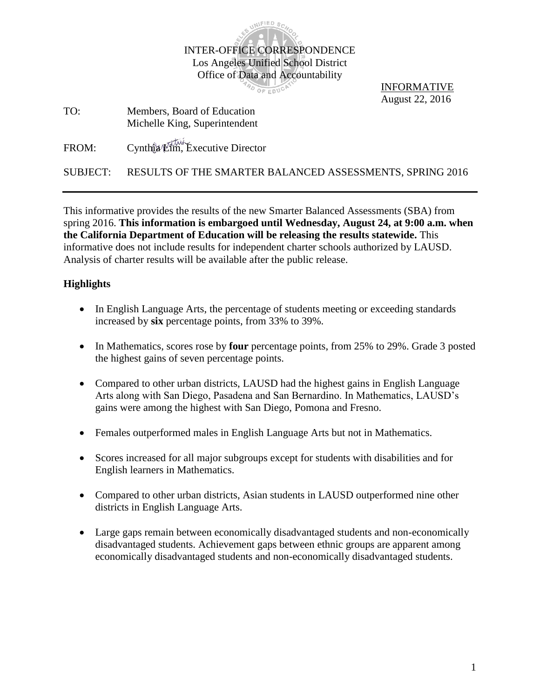

PO OF EDUCAT

INFORMATIVE August 22, 2016

TO: Members, Board of Education Michelle King, Superintendent

FROM: Cynthia Lim, Executive Director

SUBJECT: RESULTS OF THE SMARTER BALANCED ASSESSMENTS, SPRING 2016

This informative provides the results of the new Smarter Balanced Assessments (SBA) from spring 2016. **This information is embargoed until Wednesday, August 24, at 9:00 a.m. when the California Department of Education will be releasing the results statewide.** This informative does not include results for independent charter schools authorized by LAUSD. Analysis of charter results will be available after the public release.

# **Highlights**

- In English Language Arts, the percentage of students meeting or exceeding standards increased by **six** percentage points, from 33% to 39%.
- In Mathematics, scores rose by **four** percentage points, from 25% to 29%. Grade 3 posted the highest gains of seven percentage points.
- Compared to other urban districts, LAUSD had the highest gains in English Language Arts along with San Diego, Pasadena and San Bernardino. In Mathematics, LAUSD's gains were among the highest with San Diego, Pomona and Fresno.
- Females outperformed males in English Language Arts but not in Mathematics.
- Scores increased for all major subgroups except for students with disabilities and for English learners in Mathematics.
- Compared to other urban districts, Asian students in LAUSD outperformed nine other districts in English Language Arts.
- Large gaps remain between economically disadvantaged students and non-economically disadvantaged students. Achievement gaps between ethnic groups are apparent among economically disadvantaged students and non-economically disadvantaged students.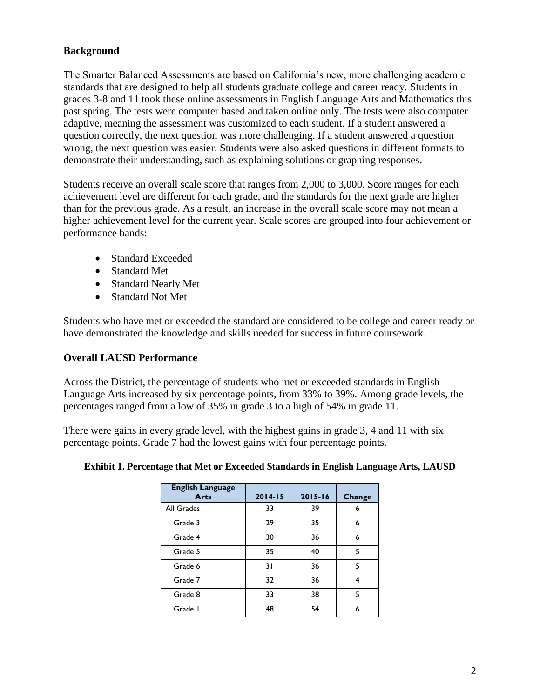# **Background**

The Smarter Balanced Assessments are based on California's new, more challenging academic standards that are designed to help all students graduate college and career ready. Students in grades 3-8 and 11 took these online assessments in English Language Arts and Mathematics this past spring. The tests were computer based and taken online only. The tests were also computer adaptive, meaning the assessment was customized to each student. If a student answered a question correctly, the next question was more challenging. If a student answered a question wrong, the next question was easier. Students were also asked questions in different formats to demonstrate their understanding, such as explaining solutions or graphing responses.

Students receive an overall scale score that ranges from 2,000 to 3,000. Score ranges for each achievement level are different for each grade, and the standards for the next grade are higher than for the previous grade. As a result, an increase in the overall scale score may not mean a higher achievement level for the current year. Scale scores are grouped into four achievement or performance bands:

- Standard Exceeded
- Standard Met
- Standard Nearly Met
- Standard Not Met

Students who have met or exceeded the standard are considered to be college and career ready or have demonstrated the knowledge and skills needed for success in future coursework.

## **Overall LAUSD Performance**

Across the District, the percentage of students who met or exceeded standards in English Language Arts increased by six percentage points, from 33% to 39%. Among grade levels, the percentages ranged from a low of 35% in grade 3 to a high of 54% in grade 11.

There were gains in every grade level, with the highest gains in grade 3, 4 and 11 with six percentage points. Grade 7 had the lowest gains with four percentage points.

| <b>English Language</b><br><b>Arts</b> | $2014 - 15$ | $2015 - 16$ | Change |
|----------------------------------------|-------------|-------------|--------|
| All Grades                             | 33          | 39          | 6      |
| Grade 3                                | 29          | 35          | 6      |
| Grade 4                                | 30          | 36          | 6      |
| Grade 5                                | 35          | 40          | 5      |
| Grade 6                                | 31          | 36          | 5      |
| Grade 7                                | 32          | 36          | 4      |
| Grade 8                                | 33          | 38          | 5      |
| Grade II                               | 48          | 54          | 6      |

## **Exhibit 1. Percentage that Met or Exceeded Standards in English Language Arts, LAUSD**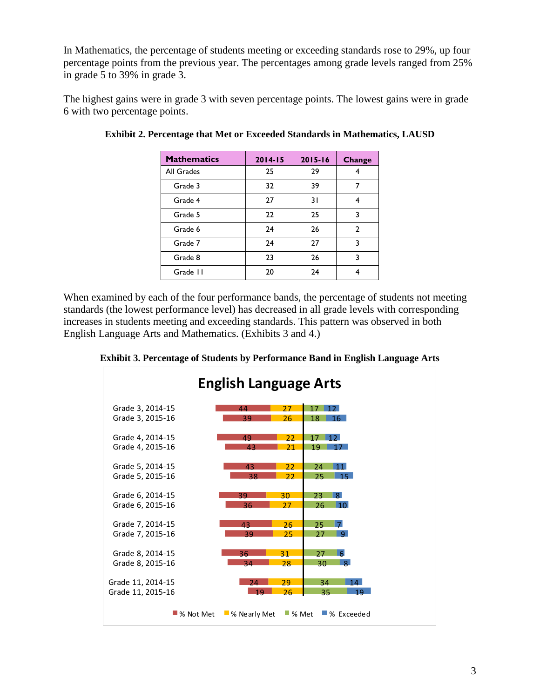In Mathematics, the percentage of students meeting or exceeding standards rose to 29%, up four percentage points from the previous year. The percentages among grade levels ranged from 25% in grade 5 to 39% in grade 3.

The highest gains were in grade 3 with seven percentage points. The lowest gains were in grade 6 with two percentage points.

| <b>Mathematics</b> | $2014 - 15$ | $2015 - 16$ | <b>Change</b>  |
|--------------------|-------------|-------------|----------------|
| All Grades         | 25          | 29          |                |
| Grade 3            | 32          | 39          | 7              |
| Grade 4            | 27          | 31          |                |
| Grade 5            | 22          | 25          | 3              |
| Grade 6            | 24          | 26          | $\overline{2}$ |
| Grade 7            | 24          | 27          | 3              |
| Grade 8            | 23          | 26          | 3              |
| Grade II           | 20          | 24          |                |

**Exhibit 2. Percentage that Met or Exceeded Standards in Mathematics, LAUSD**

When examined by each of the four performance bands, the percentage of students not meeting standards (the lowest performance level) has decreased in all grade levels with corresponding increases in students meeting and exceeding standards. This pattern was observed in both English Language Arts and Mathematics. (Exhibits 3 and 4.)

| <b>English Language Arts</b> |             |                             |                      |    |                           |
|------------------------------|-------------|-----------------------------|----------------------|----|---------------------------|
| Grade 3, 2014-15             |             | 44                          | 27                   | 17 | 12 <sub>1</sub>           |
| Grade 3, 2015-16             |             | 39                          | 26                   | 18 | 16                        |
| Grade 4, 2014-15             |             | 49                          | 22                   | 17 | 12.                       |
| Grade 4, 2015-16             |             | 43                          | 21                   | 19 |                           |
| Grade 5, 2014-15             |             | 43                          | 22                   | 24 | 11                        |
| Grade 5, 2015-16             |             | 38                          | 22                   | 25 | $-15$                     |
| Grade 6, 2014-15             |             | 39                          | 30                   | 23 | $\mathbf{R}$              |
| Grade 6, 2015-16             |             | 36                          | 27                   | 26 | 10 <sup>1</sup>           |
| Grade 7, 2014-15             |             | 43                          | 26                   | 25 | $\overline{7}$            |
| Grade 7, 2015-16             |             | 39                          | 25                   | 27 | $\mathbf{Q}$              |
| Grade 8, 2014-15             |             | 36                          | 31                   | 27 | 6                         |
| Grade 8, 2015-16             |             | 34                          | 28                   | 30 | 8 <sup>1</sup>            |
| Grade 11, 2014-15            |             | 24                          | 29                   | 34 | 14                        |
| Grade 11, 2015-16            |             | $-19$                       | 26                   | 35 | 19                        |
|                              | ■ % Not Met | $\blacksquare$ % Nearly Met | $\blacksquare$ % Met |    | $\blacksquare$ % Exceeded |

**Exhibit 3. Percentage of Students by Performance Band in English Language Arts**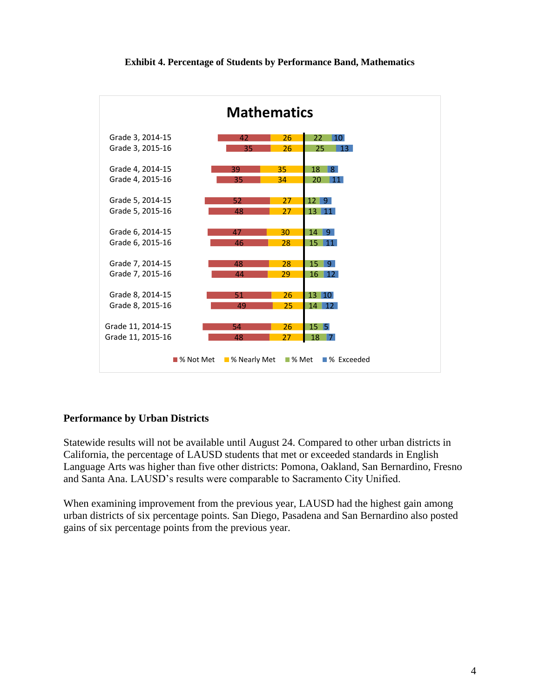



## **Performance by Urban Districts**

Statewide results will not be available until August 24. Compared to other urban districts in California, the percentage of LAUSD students that met or exceeded standards in English Language Arts was higher than five other districts: Pomona, Oakland, San Bernardino, Fresno and Santa Ana. LAUSD's results were comparable to Sacramento City Unified.

When examining improvement from the previous year, LAUSD had the highest gain among urban districts of six percentage points. San Diego, Pasadena and San Bernardino also posted gains of six percentage points from the previous year.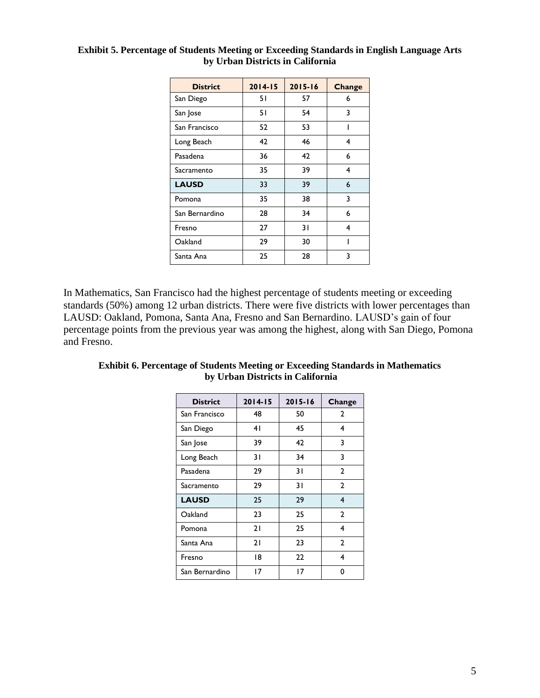| <b>District</b> | $2014 - 15$ | $2015 - 16$ | <b>Change</b> |
|-----------------|-------------|-------------|---------------|
| San Diego       | 51          | 57          | 6             |
| San Jose        | 51          | 54          | 3             |
| San Francisco   | 52          | 53          |               |
| Long Beach      | 42          | 46          | 4             |
| Pasadena        | 36          | 42          | 6             |
| Sacramento      | 35          | 39          | 4             |
| <b>LAUSD</b>    | 33          | 39          | 6             |
| Pomona          | 35          | 38          | 3             |
| San Bernardino  | 28          | 34          | 6             |
| Fresno          | 27          | 31          | 4             |
| Oakland         | 29          | 30          |               |
| Santa Ana       | 25          | 28          | 3             |

## **Exhibit 5. Percentage of Students Meeting or Exceeding Standards in English Language Arts by Urban Districts in California**

In Mathematics, San Francisco had the highest percentage of students meeting or exceeding standards (50%) among 12 urban districts. There were five districts with lower percentages than LAUSD: Oakland, Pomona, Santa Ana, Fresno and San Bernardino. LAUSD's gain of four percentage points from the previous year was among the highest, along with San Diego, Pomona and Fresno.

| <b>District</b> | $2014 - 15$ | $2015 - 16$ | Change         |
|-----------------|-------------|-------------|----------------|
| San Francisco   | 48          | 50          | 2              |
| San Diego       | 41          | 45          | 4              |
| San Jose        | 39          | 42          | 3              |
| Long Beach      | 31          | 34          | 3              |
| Pasadena        | 29          | 31          | $\overline{2}$ |
| Sacramento      | 29          | 31          | $\mathbf{2}$   |
| <b>LAUSD</b>    | 25          | 29          | 4              |
| Oakland         | 23          | 25          | $\mathbf{2}$   |
| Pomona          | 21          | 25          | 4              |
| Santa Ana       | 21          | 23          | $\mathbf{2}$   |
| Fresno          | 18          | 22          | 4              |
| San Bernardino  | 17          | 17          | 0              |

| <b>Exhibit 6. Percentage of Students Meeting or Exceeding Standards in Mathematics</b> |
|----------------------------------------------------------------------------------------|
| by Urban Districts in California                                                       |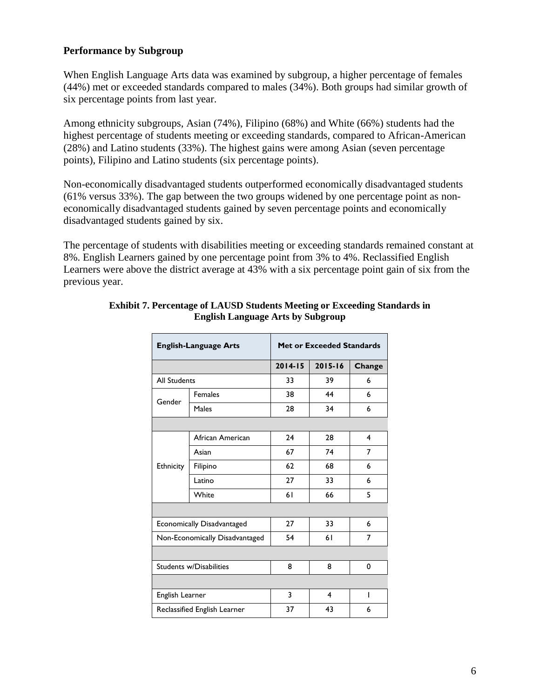# **Performance by Subgroup**

When English Language Arts data was examined by subgroup, a higher percentage of females (44%) met or exceeded standards compared to males (34%). Both groups had similar growth of six percentage points from last year.

Among ethnicity subgroups, Asian (74%), Filipino (68%) and White (66%) students had the highest percentage of students meeting or exceeding standards, compared to African-American (28%) and Latino students (33%). The highest gains were among Asian (seven percentage points), Filipino and Latino students (six percentage points).

Non-economically disadvantaged students outperformed economically disadvantaged students (61% versus 33%). The gap between the two groups widened by one percentage point as noneconomically disadvantaged students gained by seven percentage points and economically disadvantaged students gained by six.

The percentage of students with disabilities meeting or exceeding standards remained constant at 8%. English Learners gained by one percentage point from 3% to 4%. Reclassified English Learners were above the district average at 43% with a six percentage point gain of six from the previous year.

| <b>English-Language Arts</b> |                                | <b>Met or Exceeded Standards</b> |             |        |  |  |
|------------------------------|--------------------------------|----------------------------------|-------------|--------|--|--|
|                              |                                | $2014 - 15$                      | $2015 - 16$ | Change |  |  |
| <b>All Students</b>          |                                | 33                               | 39          | 6      |  |  |
| Gender                       | <b>Females</b>                 | 38                               | 44          | 6      |  |  |
|                              | Males                          | 28                               | 34          | 6      |  |  |
|                              |                                |                                  |             |        |  |  |
|                              | African American               | 24                               | 28          | 4      |  |  |
| Ethnicity                    | Asian                          | 67                               | 74          | 7      |  |  |
|                              | Filipino                       | 62                               | 68          | 6      |  |  |
|                              | Latino                         | 27                               | 33          | 6      |  |  |
|                              | White                          | 61                               | 66          | 5      |  |  |
|                              |                                |                                  |             |        |  |  |
|                              | Economically Disadvantaged     | 27                               | 33          | 6      |  |  |
|                              | Non-Economically Disadvantaged | 54                               | 61          | 7      |  |  |
|                              |                                |                                  |             |        |  |  |
| Students w/Disabilities      |                                | 8                                | 8           | 0      |  |  |
|                              |                                |                                  |             |        |  |  |
| English Learner              |                                | 3                                | 4           | ı      |  |  |
|                              | Reclassified English Learner   | 37                               | 43          | 6      |  |  |
|                              |                                |                                  |             |        |  |  |

#### **Exhibit 7. Percentage of LAUSD Students Meeting or Exceeding Standards in English Language Arts by Subgroup**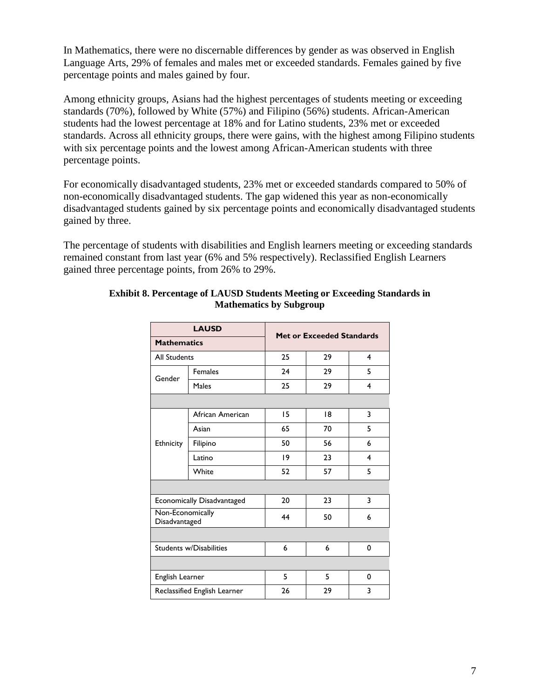In Mathematics, there were no discernable differences by gender as was observed in English Language Arts, 29% of females and males met or exceeded standards. Females gained by five percentage points and males gained by four.

Among ethnicity groups, Asians had the highest percentages of students meeting or exceeding standards (70%), followed by White (57%) and Filipino (56%) students. African-American students had the lowest percentage at 18% and for Latino students, 23% met or exceeded standards. Across all ethnicity groups, there were gains, with the highest among Filipino students with six percentage points and the lowest among African-American students with three percentage points.

For economically disadvantaged students, 23% met or exceeded standards compared to 50% of non-economically disadvantaged students. The gap widened this year as non-economically disadvantaged students gained by six percentage points and economically disadvantaged students gained by three.

The percentage of students with disabilities and English learners meeting or exceeding standards remained constant from last year (6% and 5% respectively). Reclassified English Learners gained three percentage points, from 26% to 29%.

| <b>LAUSD</b>                      |                              | <b>Met or Exceeded Standards</b> |    |                         |  |  |
|-----------------------------------|------------------------------|----------------------------------|----|-------------------------|--|--|
| <b>Mathematics</b>                |                              |                                  |    |                         |  |  |
| <b>All Students</b>               |                              | 25                               | 29 | 4                       |  |  |
| Gender                            | <b>Females</b>               | 24                               | 29 | 5                       |  |  |
|                                   | Males                        | 25                               | 29 | $\overline{\mathbf{4}}$ |  |  |
|                                   |                              |                                  |    |                         |  |  |
|                                   | African American             | 15                               | 18 | 3                       |  |  |
|                                   | Asian                        | 65                               | 70 | 5                       |  |  |
| Ethnicity                         | Filipino                     | 50                               | 56 | 6                       |  |  |
|                                   | Latino                       | $ 9\rangle$                      | 23 | $\overline{\mathbf{4}}$ |  |  |
|                                   | White                        | 52                               | 57 | 5                       |  |  |
|                                   |                              |                                  |    |                         |  |  |
| Economically Disadvantaged        |                              | 20                               | 23 | 3                       |  |  |
| Non-Economically<br>Disadvantaged |                              | 44                               | 50 | 6                       |  |  |
|                                   |                              |                                  |    |                         |  |  |
| <b>Students w/Disabilities</b>    |                              | 6                                | 6  | 0                       |  |  |
|                                   |                              |                                  |    |                         |  |  |
| English Learner                   |                              | 5                                | 5  | 0                       |  |  |
|                                   | Reclassified English Learner | 26                               | 29 | 3                       |  |  |

#### **Exhibit 8. Percentage of LAUSD Students Meeting or Exceeding Standards in Mathematics by Subgroup**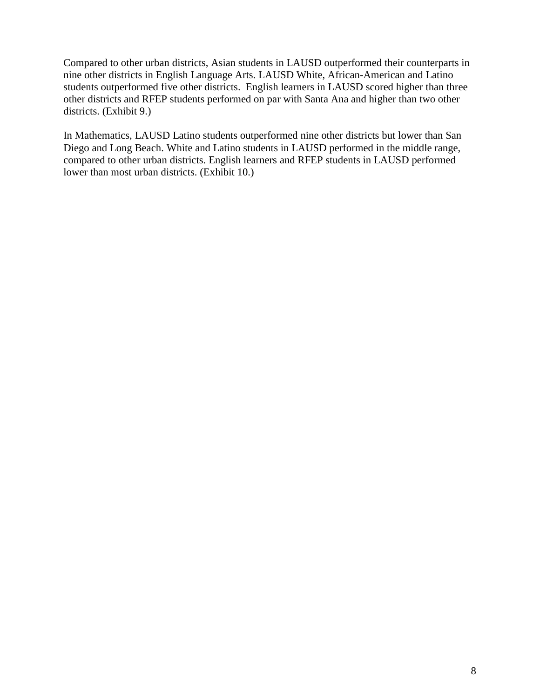Compared to other urban districts, Asian students in LAUSD outperformed their counterparts in nine other districts in English Language Arts. LAUSD White, African-American and Latino students outperformed five other districts. English learners in LAUSD scored higher than three other districts and RFEP students performed on par with Santa Ana and higher than two other districts. (Exhibit 9.)

In Mathematics, LAUSD Latino students outperformed nine other districts but lower than San Diego and Long Beach. White and Latino students in LAUSD performed in the middle range, compared to other urban districts. English learners and RFEP students in LAUSD performed lower than most urban districts. (Exhibit 10.)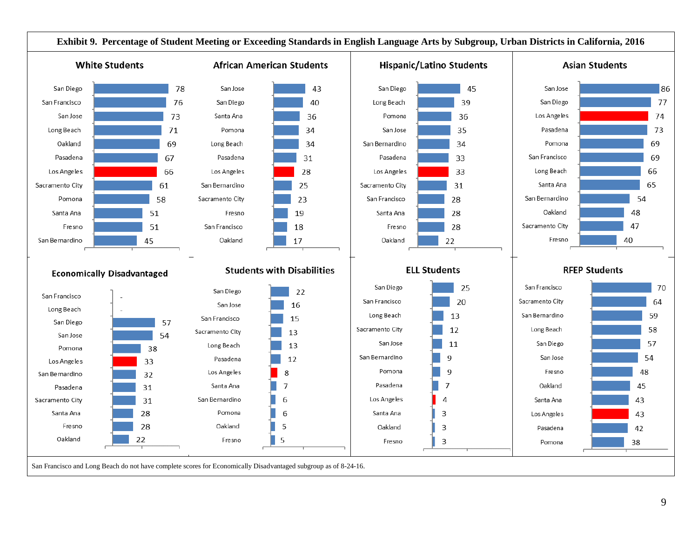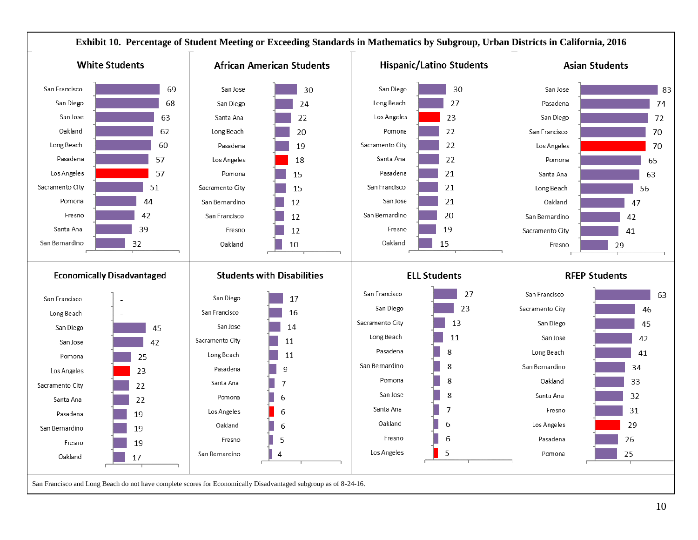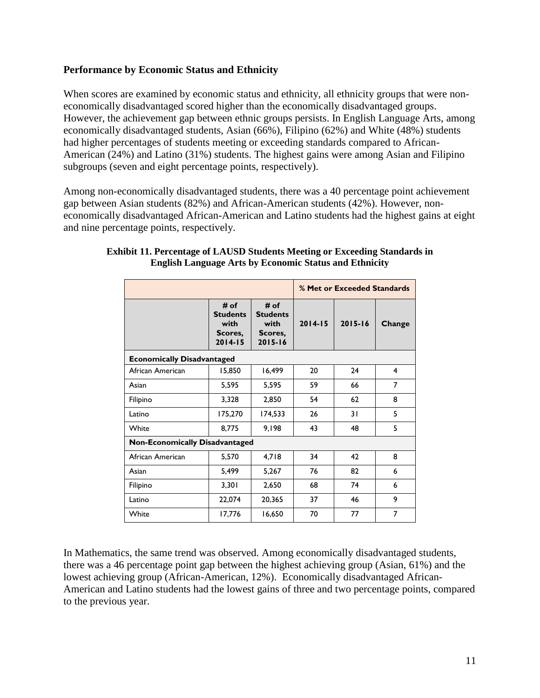# **Performance by Economic Status and Ethnicity**

When scores are examined by economic status and ethnicity, all ethnicity groups that were noneconomically disadvantaged scored higher than the economically disadvantaged groups. However, the achievement gap between ethnic groups persists. In English Language Arts, among economically disadvantaged students, Asian (66%), Filipino (62%) and White (48%) students had higher percentages of students meeting or exceeding standards compared to African-American (24%) and Latino (31%) students. The highest gains were among Asian and Filipino subgroups (seven and eight percentage points, respectively).

Among non-economically disadvantaged students, there was a 40 percentage point achievement gap between Asian students (82%) and African-American students (42%). However, noneconomically disadvantaged African-American and Latino students had the highest gains at eight and nine percentage points, respectively.

|                                       |                                                           |                                                           | % Met or Exceeded Standards |             |        |  |  |
|---------------------------------------|-----------------------------------------------------------|-----------------------------------------------------------|-----------------------------|-------------|--------|--|--|
|                                       | # of<br><b>Students</b><br>with<br>Scores,<br>$2014 - 15$ | # of<br><b>Students</b><br>with<br>Scores,<br>$2015 - 16$ | $2014 - 15$                 | $2015 - 16$ | Change |  |  |
| <b>Economically Disadvantaged</b>     |                                                           |                                                           |                             |             |        |  |  |
| African American                      | 15,850                                                    | 16,499                                                    | 20                          | 24          | 4      |  |  |
| Asian                                 | 5,595                                                     | 5,595                                                     | 59                          | 66          | 7      |  |  |
| Filipino                              | 3,328                                                     | 2,850                                                     | 54                          | 62          | 8      |  |  |
| Latino                                | 175,270                                                   | 174,533                                                   | 26                          | 31          | 5      |  |  |
| White                                 | 8,775                                                     | 9,198                                                     | 43                          | 48          | 5      |  |  |
| <b>Non-Economically Disadvantaged</b> |                                                           |                                                           |                             |             |        |  |  |
| African American                      | 5,570                                                     | 4,718                                                     | 34                          | 42          | 8      |  |  |
| Asian                                 | 5,499                                                     | 5,267                                                     | 76                          | 82          | 6      |  |  |
| Filipino                              | 3,301                                                     | 2,650                                                     | 68                          | 74          | 6      |  |  |
| Latino                                | 22,074                                                    | 20,365                                                    | 37                          | 46          | 9      |  |  |
| White                                 | 17,776                                                    | 16,650                                                    | 70                          | 77          | 7      |  |  |

#### **Exhibit 11. Percentage of LAUSD Students Meeting or Exceeding Standards in English Language Arts by Economic Status and Ethnicity**

In Mathematics, the same trend was observed. Among economically disadvantaged students, there was a 46 percentage point gap between the highest achieving group (Asian, 61%) and the lowest achieving group (African-American, 12%). Economically disadvantaged African-American and Latino students had the lowest gains of three and two percentage points, compared to the previous year.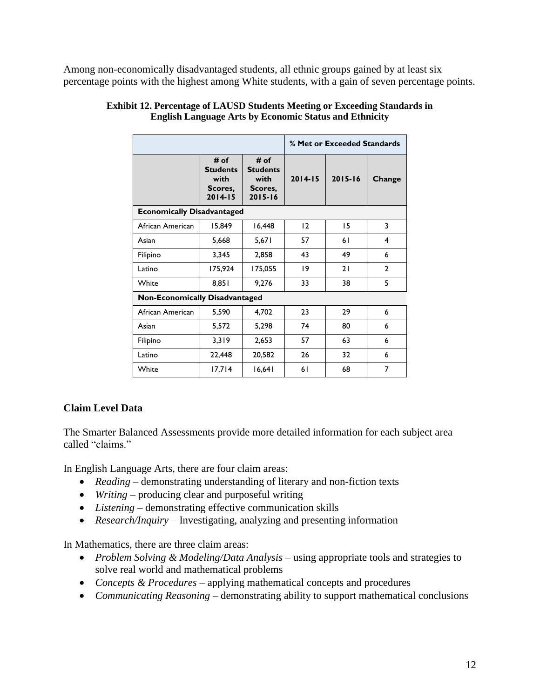Among non-economically disadvantaged students, all ethnic groups gained by at least six percentage points with the highest among White students, with a gain of seven percentage points.

|                                       |                                                           | % Met or Exceeded Standards                               |             |             |              |
|---------------------------------------|-----------------------------------------------------------|-----------------------------------------------------------|-------------|-------------|--------------|
|                                       | # of<br><b>Students</b><br>with<br>Scores.<br>$2014 - 15$ | # of<br><b>Students</b><br>with<br>Scores.<br>$2015 - 16$ | $2014 - 15$ | $2015 - 16$ | Change       |
| <b>Economically Disadvantaged</b>     |                                                           |                                                           |             |             |              |
| African American                      | 15,849                                                    | 16,448                                                    | 12          | 15          | 3            |
| Asian                                 | 5,668                                                     | 5,671                                                     | 57          | 61          | 4            |
| Filipino                              | 3,345                                                     | 2,858                                                     | 43          | 49          | 6            |
| Latino                                | 175,924                                                   | 175,055                                                   | $ 9\rangle$ | 21          | $\mathbf{2}$ |
| White                                 | 8,851                                                     | 9,276                                                     | 33          | 38          | 5            |
| <b>Non-Economically Disadvantaged</b> |                                                           |                                                           |             |             |              |
| African American                      | 5,590                                                     | 4,702                                                     | 23          | 29          | 6            |
| Asian                                 | 5,572                                                     | 5,298                                                     | 74          | 80          | 6            |
| Filipino                              | 3,319                                                     | 2,653                                                     | 57          | 63          | 6            |
| Latino                                | 22,448                                                    | 20,582                                                    | 26          | 32          | 6            |
| White                                 | 17,714                                                    | 16,641                                                    | 61          | 68          | 7            |

#### **Exhibit 12. Percentage of LAUSD Students Meeting or Exceeding Standards in English Language Arts by Economic Status and Ethnicity**

# **Claim Level Data**

The Smarter Balanced Assessments provide more detailed information for each subject area called "claims"

In English Language Arts, there are four claim areas:

- *Reading* demonstrating understanding of literary and non-fiction texts
- *Writing*  producing clear and purposeful writing
- *Listening*  demonstrating effective communication skills
- *Research/Inquiry* Investigating, analyzing and presenting information

In Mathematics, there are three claim areas:

- *Problem Solving & Modeling/Data Analysis* using appropriate tools and strategies to solve real world and mathematical problems
- *Concepts & Procedures* applying mathematical concepts and procedures
- *Communicating Reasoning* demonstrating ability to support mathematical conclusions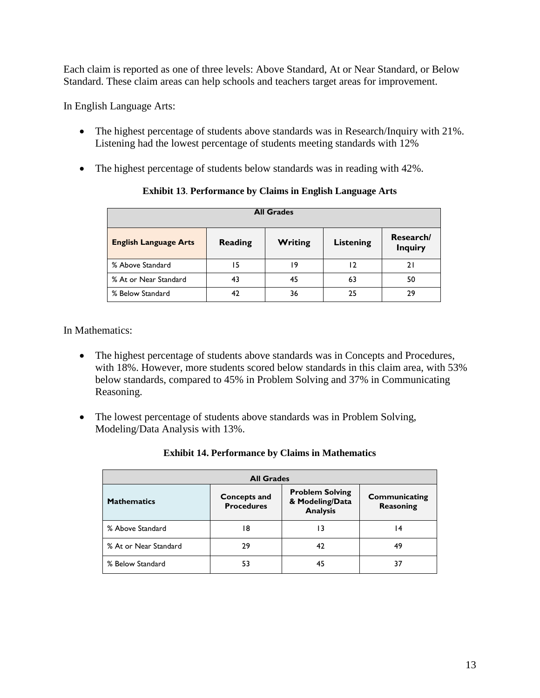Each claim is reported as one of three levels: Above Standard, At or Near Standard, or Below Standard. These claim areas can help schools and teachers target areas for improvement.

In English Language Arts:

- The highest percentage of students above standards was in Research/Inquiry with 21%. Listening had the lowest percentage of students meeting standards with 12%
- The highest percentage of students below standards was in reading with 42%.

| <b>All Grades</b>            |                |                |                  |                             |  |
|------------------------------|----------------|----------------|------------------|-----------------------------|--|
| <b>English Language Arts</b> | <b>Reading</b> | <b>Writing</b> | <b>Listening</b> | Research/<br><b>Inquiry</b> |  |
| % Above Standard             | 15             | ۱9             | 12               | 21                          |  |
| % At or Near Standard        | 43             | 45             | 63               | 50                          |  |
| % Below Standard             | 42             | 36             | 25               | 29                          |  |

## **Exhibit 13**. **Performance by Claims in English Language Arts**

In Mathematics:

- The highest percentage of students above standards was in Concepts and Procedures, with 18%. However, more students scored below standards in this claim area, with 53% below standards, compared to 45% in Problem Solving and 37% in Communicating Reasoning.
- The lowest percentage of students above standards was in Problem Solving, Modeling/Data Analysis with 13%.

| <b>All Grades</b>     |                                                                                                          |    |                            |  |  |
|-----------------------|----------------------------------------------------------------------------------------------------------|----|----------------------------|--|--|
| <b>Mathematics</b>    | <b>Problem Solving</b><br><b>Concepts and</b><br>& Modeling/Data<br><b>Procedures</b><br><b>Analysis</b> |    | Communicating<br>Reasoning |  |  |
| % Above Standard      | 8                                                                                                        | ۱3 | 14                         |  |  |
| % At or Near Standard | 29                                                                                                       | 42 | 49                         |  |  |
| % Below Standard      | 53                                                                                                       | 45 | 37                         |  |  |

## **Exhibit 14. Performance by Claims in Mathematics**